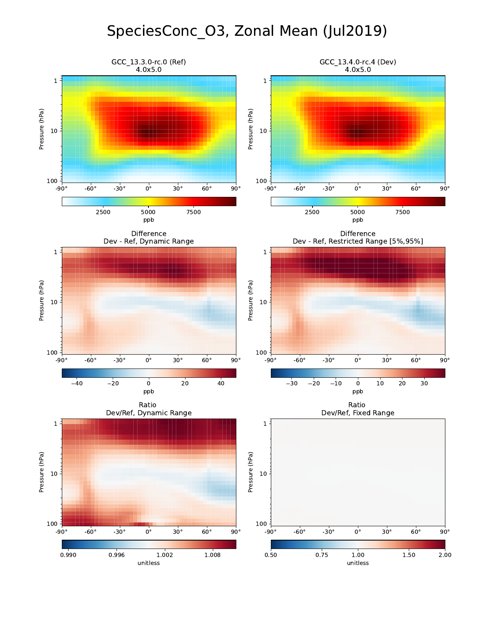## SpeciesConc\_O3, Zonal Mean (Jul2019)

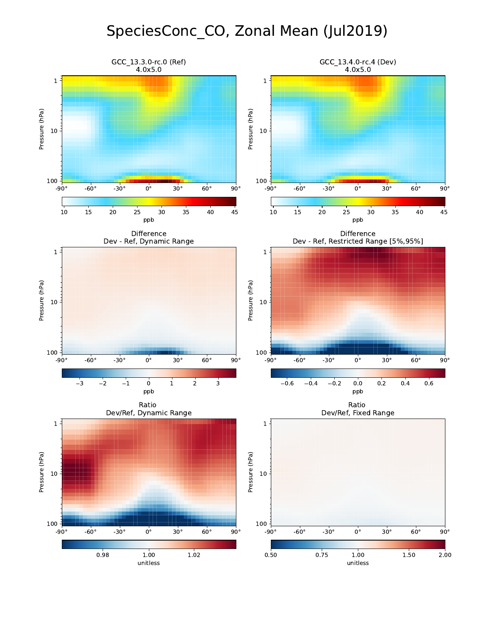## SpeciesConc\_CO, Zonal Mean (Jul2019)

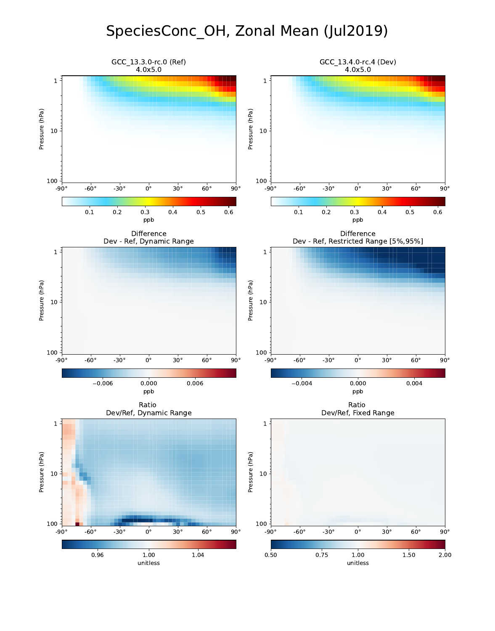## SpeciesConc\_OH, Zonal Mean (Jul2019)